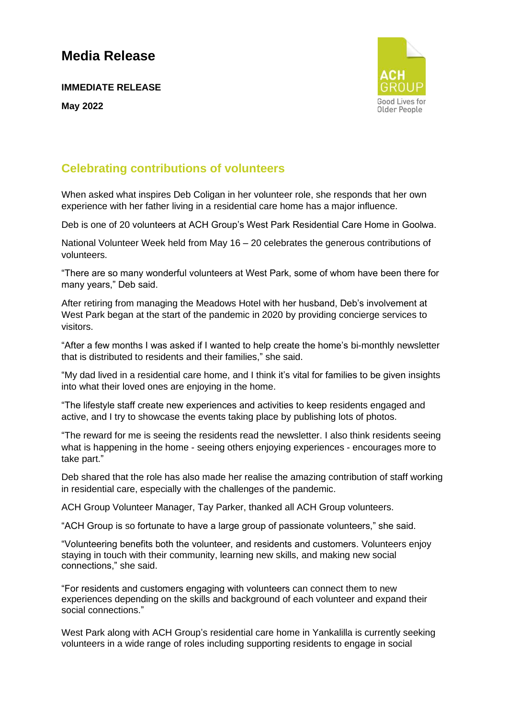## **Media Release**

**IMMEDIATE RELEASE May 2022**



### **Celebrating contributions of volunteers**

When asked what inspires Deb Coligan in her volunteer role, she responds that her own experience with her father living in a residential care home has a major influence.

Deb is one of 20 volunteers at ACH Group's West Park Residential Care Home in Goolwa.

National Volunteer Week held from May 16 – 20 celebrates the generous contributions of volunteers.

"There are so many wonderful volunteers at West Park, some of whom have been there for many years," Deb said.

After retiring from managing the Meadows Hotel with her husband, Deb's involvement at West Park began at the start of the pandemic in 2020 by providing concierge services to visitors.

"After a few months I was asked if I wanted to help create the home's bi-monthly newsletter that is distributed to residents and their families," she said.

"My dad lived in a residential care home, and I think it's vital for families to be given insights into what their loved ones are enjoying in the home.

"The lifestyle staff create new experiences and activities to keep residents engaged and active, and I try to showcase the events taking place by publishing lots of photos.

"The reward for me is seeing the residents read the newsletter. I also think residents seeing what is happening in the home - seeing others enjoying experiences - encourages more to take part."

Deb shared that the role has also made her realise the amazing contribution of staff working in residential care, especially with the challenges of the pandemic.

ACH Group Volunteer Manager, Tay Parker, thanked all ACH Group volunteers.

"ACH Group is so fortunate to have a large group of passionate volunteers," she said.

"Volunteering benefits both the volunteer, and residents and customers. Volunteers enjoy staying in touch with their community, learning new skills, and making new social connections," she said.

"For residents and customers engaging with volunteers can connect them to new experiences depending on the skills and background of each volunteer and expand their social connections."

West Park along with ACH Group's residential care home in Yankalilla is currently seeking volunteers in a wide range of roles including supporting residents to engage in social